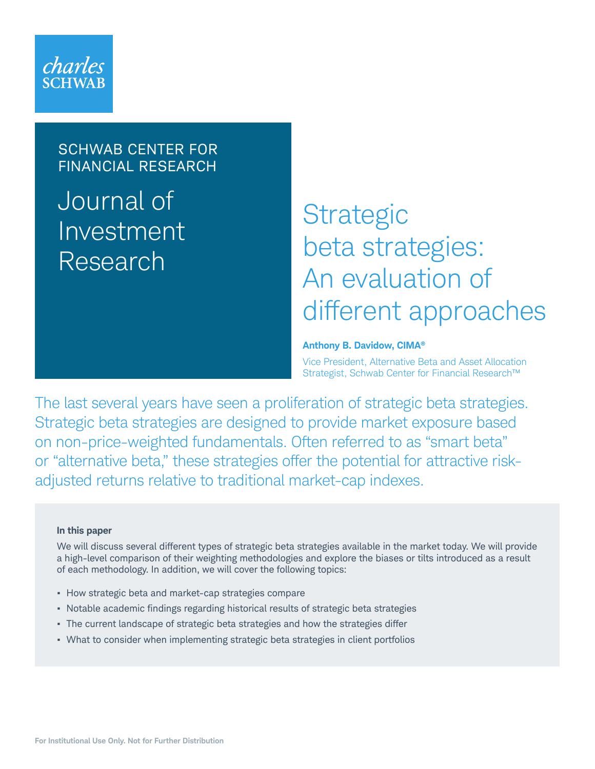

# SCHWAB CENTER FOR FINANCIAL RESEARCH

Journal of Investment Research

# **Strategic** beta strategies: An evaluation of different approaches

### **Anthony B. Davidow, CIMA®**

Vice President, Alternative Beta and Asset Allocation Strategist, Schwab Center for Financial Research™

The last several years have seen a proliferation of strategic beta strategies. Strategic beta strategies are designed to provide market exposure based on non-price-weighted fundamentals. Often referred to as "smart beta" or "alternative beta," these strategies offer the potential for attractive riskadjusted returns relative to traditional market-cap indexes.

### **In this paper**

We will discuss several different types of strategic beta strategies available in the market today. We will provide a high-level comparison of their weighting methodologies and explore the biases or tilts introduced as a result of each methodology. In addition, we will cover the following topics:

- How strategic beta and market-cap strategies compare
- Notable academic findings regarding historical results of strategic beta strategies
- The current landscape of strategic beta strategies and how the strategies differ
- What to consider when implementing strategic beta strategies in client portfolios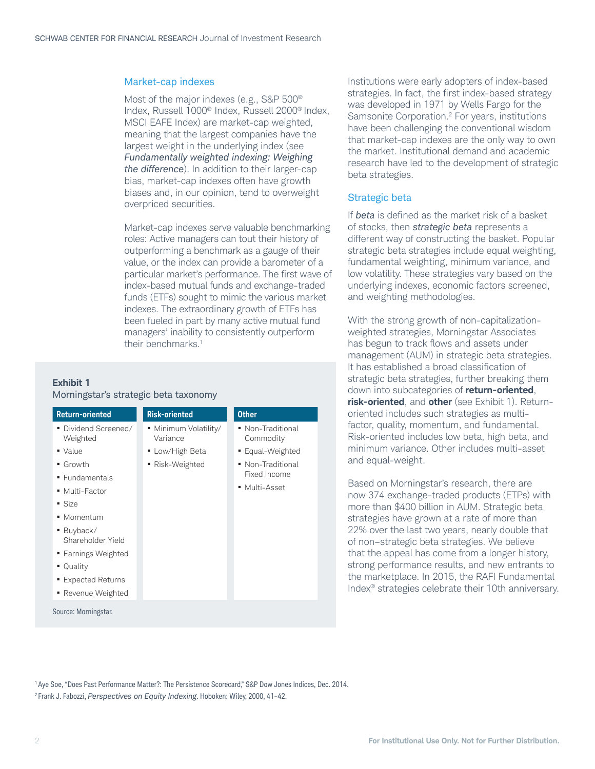### Market-cap indexes

Most of the major indexes (e.g., S&P 500® Index, Russell 1000® Index, Russell 2000® Index, MSCI EAFE Index) are market-cap weighted, meaning that the largest companies have the largest weight in the underlying index (see *Fundamentally weighted indexing: Weighing the difference*). In addition to their larger-cap bias, market-cap indexes often have growth biases and, in our opinion, tend to overweight overpriced securities.

Market-cap indexes serve valuable benchmarking roles: Active managers can tout their history of outperforming a benchmark as a gauge of their value, or the index can provide a barometer of a particular market's performance. The first wave of index-based mutual funds and exchange-traded funds (ETFs) sought to mimic the various market indexes. The extraordinary growth of ETFs has been fueled in part by many active mutual fund managers' inability to consistently outperform their benchmarks.<sup>1</sup>

### **Exhibit 1** Morningstar's strategic beta taxonomy

| <b>Return-oriented</b>           | <b>Risk-oriented</b>              | <b>Other</b>                   |
|----------------------------------|-----------------------------------|--------------------------------|
| • Dividend Screened/<br>Weighted | • Minimum Volatility/<br>Variance | • Non-Traditional<br>Commodity |
| • Value                          | ▪ Low/High Beta                   | • Equal-Weighted               |
| • Growth                         | Risk-Weighted<br>٠                | • Non-Traditional              |
| • Fundamentals                   |                                   | Fixed Income                   |
| • Multi-Factor                   |                                   | • Multi-Asset                  |
| $\blacksquare$ Size              |                                   |                                |
| • Momentum                       |                                   |                                |
| ▪ Buyback⁄<br>Shareholder Yield  |                                   |                                |
| ■ Earnings Weighted              |                                   |                                |
| $\blacksquare$ Quality           |                                   |                                |
| <b>Expected Returns</b>          |                                   |                                |
| ■ Revenue Weighted               |                                   |                                |
| Source: Morningstar.             |                                   |                                |

Institutions were early adopters of index-based strategies. In fact, the first index-based strategy was developed in 1971 by Wells Fargo for the Samsonite Corporation.<sup>2</sup> For years, institutions have been challenging the conventional wisdom that market-cap indexes are the only way to own the market. Institutional demand and academic research have led to the development of strategic beta strategies.

### Strategic beta

If *beta* is defined as the market risk of a basket of stocks, then *strategic beta* represents a different way of constructing the basket. Popular strategic beta strategies include equal weighting, fundamental weighting, minimum variance, and low volatility. These strategies vary based on the underlying indexes, economic factors screened, and weighting methodologies.

With the strong growth of non-capitalizationweighted strategies, Morningstar Associates has begun to track flows and assets under management (AUM) in strategic beta strategies. It has established a broad classification of strategic beta strategies, further breaking them down into subcategories of **return-oriented**, **risk-oriented**, and **other** (see Exhibit 1). Returnoriented includes such strategies as multifactor, quality, momentum, and fundamental. Risk-oriented includes low beta, high beta, and minimum variance. Other includes multi-asset and equal-weight.

Based on Morningstar's research, there are now 374 exchange-traded products (ETPs) with more than \$400 billion in AUM. Strategic beta strategies have grown at a rate of more than 22% over the last two years, nearly double that of non–strategic beta strategies. We believe that the appeal has come from a longer history, strong performance results, and new entrants to the marketplace. In 2015, the RAFI Fundamental Index® strategies celebrate their 10th anniversary.

1 Aye Soe, "Does Past Performance Matter?: The Persistence Scorecard," S&P Dow Jones Indices, Dec. 2014. 2 Frank J. Fabozzi, *Perspectives on Equity Indexing*. Hoboken: Wiley, 2000, 41–42.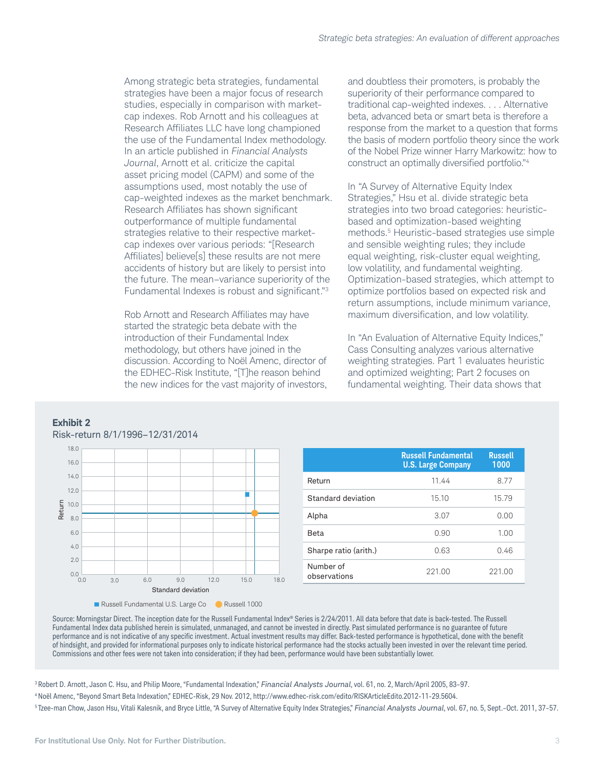Among strategic beta strategies, fundamental strategies have been a major focus of research studies, especially in comparison with marketcap indexes. Rob Arnott and his colleagues at Research Affiliates LLC have long championed the use of the Fundamental Index methodology. In an article published in *Financial Analysts Journal*, Arnott et al. criticize the capital asset pricing model (CAPM) and some of the assumptions used, most notably the use of cap-weighted indexes as the market benchmark. Research Affiliates has shown significant outperformance of multiple fundamental strategies relative to their respective marketcap indexes over various periods: "[Research Affiliates] believe[s] these results are not mere accidents of history but are likely to persist into the future. The mean–variance superiority of the Fundamental Indexes is robust and significant."<sup>3</sup>

Rob Arnott and Research Affiliates may have started the strategic beta debate with the introduction of their Fundamental Index methodology, but others have joined in the discussion. According to Noël Amenc, director of the EDHEC-Risk Institute, "[T]he reason behind the new indices for the vast majority of investors, and doubtless their promoters, is probably the superiority of their performance compared to traditional cap-weighted indexes. . . . Alternative beta, advanced beta or smart beta is therefore a response from the market to a question that forms the basis of modern portfolio theory since the work of the Nobel Prize winner Harry Markowitz: how to construct an optimally diversified portfolio."<sup>4</sup>

In "A Survey of Alternative Equity Index Strategies," Hsu et al. divide strategic beta strategies into two broad categories: heuristicbased and optimization-based weighting methods.5 Heuristic-based strategies use simple and sensible weighting rules; they include equal weighting, risk-cluster equal weighting, low volatility, and fundamental weighting. Optimization-based strategies, which attempt to optimize portfolios based on expected risk and return assumptions, include minimum variance, maximum diversification, and low volatility.

In "An Evaluation of Alternative Equity Indices," Cass Consulting analyzes various alternative weighting strategies. Part 1 evaluates heuristic and optimized weighting; Part 2 focuses on fundamental weighting. Their data shows that

### **Exhibit 2**



|                           | <b>Russell Fundamental</b><br><b>U.S. Large Company</b> | <b>Russell</b><br>1000 |
|---------------------------|---------------------------------------------------------|------------------------|
| Return                    | 11.44                                                   | 8.77                   |
| Standard deviation        | 15.10                                                   | 15.79                  |
| Alpha                     | 3.07                                                    | 0.00                   |
| Beta                      | 0.90                                                    | 1.00                   |
| Sharpe ratio (arith.)     | 0.63                                                    | 0.46                   |
| Number of<br>observations | 221.00                                                  | 221.00                 |

Source: Morningstar Direct. The inception date for the Russell Fundamental Index® Series is 2/24/2011. All data before that date is back-tested. The Russell Fundamental Index data published herein is simulated, unmanaged, and cannot be invested in directly. Past simulated performance is no guarantee of future performance and is not indicative of any specific investment. Actual investment results may differ. Back-tested performance is hypothetical, done with the benefit of hindsight, and provided for informational purposes only to indicate historical performance had the stocks actually been invested in over the relevant time period. Commissions and other fees were not taken into consideration; if they had been, performance would have been substantially lower.

3 Robert D. Arnott, Jason C. Hsu, and Philip Moore, "Fundamental Indexation," *Financial Analysts Journal*, vol. 61, no. 2, March/April 2005, 83–97.

<sup>4</sup>Noël Amenc, "Beyond Smart Beta Indexation," EDHEC-Risk, 29 Nov. 2012, http://www.edhec-risk.com/edito/RISKArticleEdito.2012-11-29.5604.

<sup>5</sup>Tzee-man Chow, Jason Hsu, Vitali Kalesnik, and Bryce Little, "A Survey of Alternative Equity Index Strategies," *Financial Analysts Journal*, vol. 67, no. 5, Sept.–Oct. 2011, 37–57.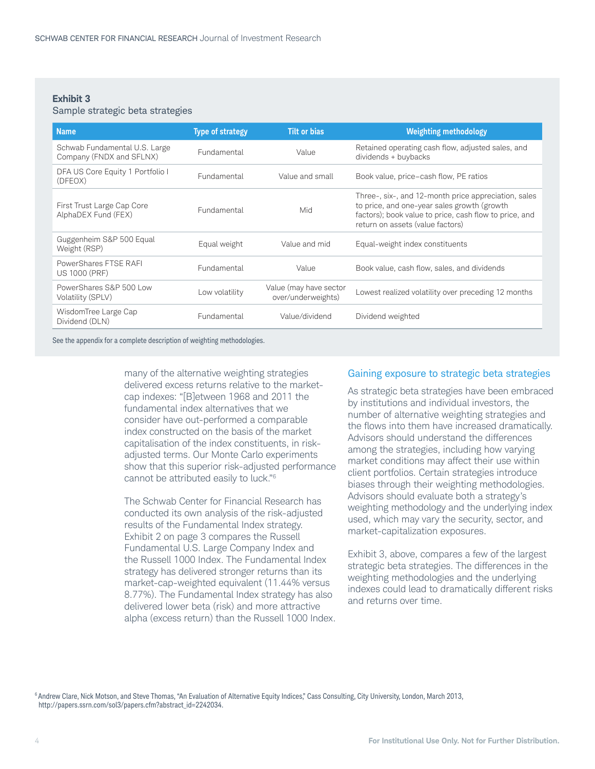### **Exhibit 3**

### Sample strategic beta strategies

| <b>Name</b>                                               | <b>Type of strategy</b> | <b>Tilt or bias</b>                          | <b>Weighting methodology</b>                                                                                                                                                                      |
|-----------------------------------------------------------|-------------------------|----------------------------------------------|---------------------------------------------------------------------------------------------------------------------------------------------------------------------------------------------------|
| Schwab Fundamental U.S. Large<br>Company (FNDX and SFLNX) | Fundamental             | Value                                        | Retained operating cash flow, adjusted sales, and<br>dividends + buybacks                                                                                                                         |
| DFA US Core Equity 1 Portfolio I<br>(DFEOX)               | Fundamental             | Value and small                              | Book value, price-cash flow, PE ratios                                                                                                                                                            |
| First Trust Large Cap Core<br>AlphaDEX Fund (FEX)         | Fundamental             | Mid                                          | Three-, six-, and 12-month price appreciation, sales<br>to price, and one-year sales growth (growth<br>factors); book value to price, cash flow to price, and<br>return on assets (value factors) |
| Guggenheim S&P 500 Equal<br>Weight (RSP)                  | Equal weight            | Value and mid                                | Equal-weight index constituents                                                                                                                                                                   |
| PowerShares FTSE RAFI<br><b>US 1000 (PRF)</b>             | Fundamental             | Value                                        | Book value, cash flow, sales, and dividends                                                                                                                                                       |
| PowerShares S&P 500 Low<br>Volatility (SPLV)              | Low volatility          | Value (may have sector<br>over/underweights) | Lowest realized volatility over preceding 12 months                                                                                                                                               |
| WisdomTree Large Cap<br>Dividend (DLN)                    | Fundamental             | Value/dividend                               | Dividend weighted                                                                                                                                                                                 |

See the appendix for a complete description of weighting methodologies.

many of the alternative weighting strategies delivered excess returns relative to the marketcap indexes: "[B]etween 1968 and 2011 the fundamental index alternatives that we consider have out-performed a comparable index constructed on the basis of the market capitalisation of the index constituents, in riskadjusted terms. Our Monte Carlo experiments show that this superior risk-adjusted performance cannot be attributed easily to luck."6

The Schwab Center for Financial Research has conducted its own analysis of the risk-adjusted results of the Fundamental Index strategy. Exhibit 2 on page 3 compares the Russell Fundamental U.S. Large Company Index and the Russell 1000 Index. The Fundamental Index strategy has delivered stronger returns than its market-cap-weighted equivalent (11.44% versus 8.77%). The Fundamental Index strategy has also delivered lower beta (risk) and more attractive alpha (excess return) than the Russell 1000 Index.

### Gaining exposure to strategic beta strategies

As strategic beta strategies have been embraced by institutions and individual investors, the number of alternative weighting strategies and the flows into them have increased dramatically. Advisors should understand the differences among the strategies, including how varying market conditions may affect their use within client portfolios. Certain strategies introduce biases through their weighting methodologies. Advisors should evaluate both a strategy's weighting methodology and the underlying index used, which may vary the security, sector, and market-capitalization exposures.

Exhibit 3, above, compares a few of the largest strategic beta strategies. The differences in the weighting methodologies and the underlying indexes could lead to dramatically different risks and returns over time.

<sup>6</sup> Andrew Clare, Nick Motson, and Steve Thomas, "An Evaluation of Alternative Equity Indices," Cass Consulting, City University, London, March 2013, http://papers.ssrn.com/sol3/papers.cfm?abstract\_id=2242034.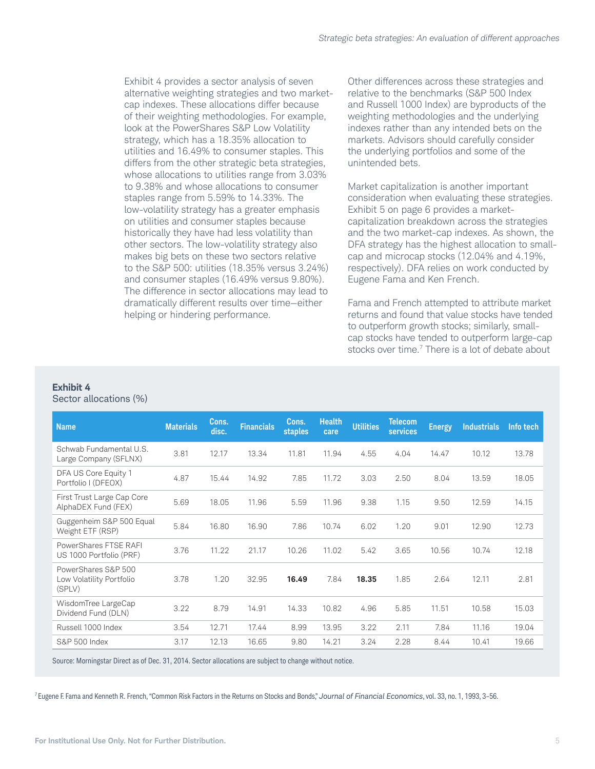Exhibit 4 provides a sector analysis of seven alternative weighting strategies and two marketcap indexes. These allocations differ because of their weighting methodologies. For example, look at the PowerShares S&P Low Volatility strategy, which has a 18.35% allocation to utilities and 16.49% to consumer staples. This differs from the other strategic beta strategies, whose allocations to utilities range from 3.03% to 9.38% and whose allocations to consumer staples range from 5.59% to 14.33%. The low-volatility strategy has a greater emphasis on utilities and consumer staples because historically they have had less volatility than other sectors. The low-volatility strategy also makes big bets on these two sectors relative to the S&P 500: utilities (18.35% versus 3.24%) and consumer staples (16.49% versus 9.80%). The difference in sector allocations may lead to dramatically different results over time—either helping or hindering performance.

Other differences across these strategies and relative to the benchmarks (S&P 500 Index and Russell 1000 Index) are byproducts of the weighting methodologies and the underlying indexes rather than any intended bets on the markets. Advisors should carefully consider the underlying portfolios and some of the unintended bets.

Market capitalization is another important consideration when evaluating these strategies. Exhibit 5 on page 6 provides a marketcapitalization breakdown across the strategies and the two market-cap indexes. As shown, the DFA strategy has the highest allocation to smallcap and microcap stocks (12.04% and 4.19%, respectively). DFA relies on work conducted by Eugene Fama and Ken French.

Fama and French attempted to attribute market returns and found that value stocks have tended to outperform growth stocks; similarly, smallcap stocks have tended to outperform large-cap stocks over time.<sup>7</sup> There is a lot of debate about

### **Exhibit 4** Sector allocations (%)

| <b>Name</b>                                               | <b>Materials</b> | Cons.<br>disc. | <b>Financials</b> | Cons.<br><b>staples</b> | <b>Health</b><br>care | <b>Utilities</b> | <b>Telecom</b><br><b>services</b> | <b>Energy</b> | <b>Industrials</b> | Info tech |
|-----------------------------------------------------------|------------------|----------------|-------------------|-------------------------|-----------------------|------------------|-----------------------------------|---------------|--------------------|-----------|
| Schwab Fundamental U.S.<br>Large Company (SFLNX)          | 3.81             | 12.17          | 13.34             | 11.81                   | 11.94                 | 4.55             | 4.04                              | 14.47         | 10.12              | 13.78     |
| DFA US Core Equity 1<br>Portfolio I (DFEOX)               | 4.87             | 15.44          | 14.92             | 7.85                    | 11.72                 | 3.03             | 2.50                              | 8.04          | 13.59              | 18.05     |
| First Trust Large Cap Core<br>AlphaDEX Fund (FEX)         | 5.69             | 18.05          | 11.96             | 5.59                    | 11.96                 | 9.38             | 1.15                              | 9.50          | 12.59              | 14.15     |
| Guggenheim S&P 500 Equal<br>Weight ETF (RSP)              | 5.84             | 16.80          | 16.90             | 7.86                    | 10.74                 | 6.02             | 1.20                              | 9.01          | 12.90              | 12.73     |
| PowerShares FTSE RAFI<br>US 1000 Portfolio (PRF)          | 3.76             | 11.22          | 21.17             | 10.26                   | 11.02                 | 5.42             | 3.65                              | 10.56         | 10.74              | 12.18     |
| PowerShares S&P 500<br>Low Volatility Portfolio<br>(SPLV) | 3.78             | 1.20           | 32.95             | 16.49                   | 7.84                  | 18.35            | 1.85                              | 2.64          | 12.11              | 2.81      |
| WisdomTree LargeCap<br>Dividend Fund (DLN)                | 3.22             | 8.79           | 14.91             | 14.33                   | 10.82                 | 4.96             | 5.85                              | 11.51         | 10.58              | 15.03     |
| Russell 1000 Index                                        | 3.54             | 12.71          | 17.44             | 8.99                    | 13.95                 | 3.22             | 2.11                              | 7.84          | 11.16              | 19.04     |
| <b>S&amp;P 500 Index</b>                                  | 3.17             | 12.13          | 16.65             | 9.80                    | 14.21                 | 3.24             | 2.28                              | 8.44          | 10.41              | 19.66     |

Source: Morningstar Direct as of Dec. 31, 2014. Sector allocations are subject to change without notice.

7 Eugene F. Fama and Kenneth R. French, "Common Risk Factors in the Returns on Stocks and Bonds," *Journal of Financial Economics*, vol. 33, no. 1, 1993, 3–56.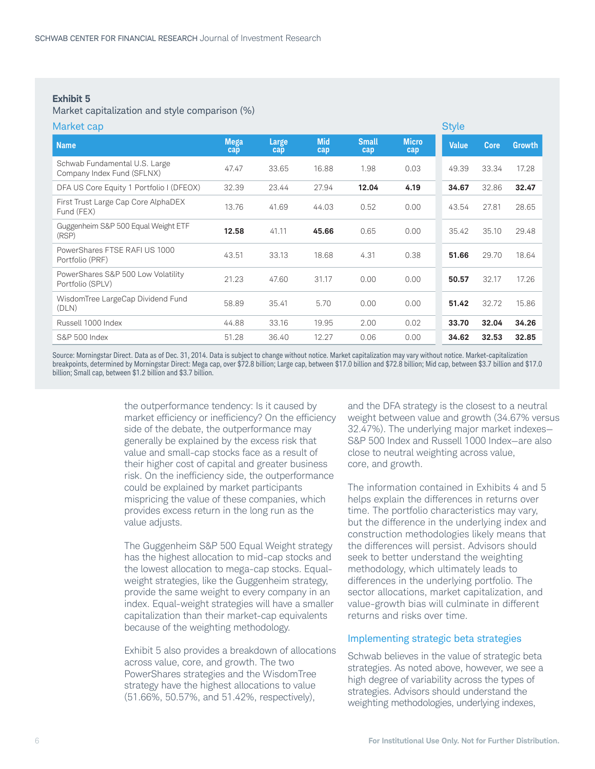### **Exhibit 5**

Market capitalization and style comparison (%)

| Market cap                                                  |                    |              |                   |                     |                     | <b>Style</b> |             |               |
|-------------------------------------------------------------|--------------------|--------------|-------------------|---------------------|---------------------|--------------|-------------|---------------|
| <b>Name</b>                                                 | <b>Mega</b><br>cap | Large<br>cap | <b>Mid</b><br>cap | <b>Small</b><br>cap | <b>Micro</b><br>cap | <b>Value</b> | <b>Core</b> | <b>Growth</b> |
| Schwab Fundamental U.S. Large<br>Company Index Fund (SFLNX) | 47.47              | 33.65        | 16.88             | 1.98                | 0.03                | 49.39        | 33.34       | 17.28         |
| DFA US Core Equity 1 Portfolio I (DFEOX)                    | 32.39              | 23.44        | 27.94             | 12.04               | 4.19                | 34.67        | 32.86       | 32.47         |
| First Trust Large Cap Core AlphaDEX<br>Fund (FEX)           | 13.76              | 41.69        | 44.03             | 0.52                | 0.00                | 43.54        | 27.81       | 28.65         |
| Guggenheim S&P 500 Equal Weight ETF<br>(RSP)                | 12.58              | 41.11        | 45.66             | 0.65                | 0.00                | 35.42        | 35.10       | 29.48         |
| PowerShares FTSE RAFI US 1000<br>Portfolio (PRF)            | 43.51              | 33.13        | 18.68             | 4.31                | 0.38                | 51.66        | 29.70       | 18.64         |
| PowerShares S&P 500 Low Volatility<br>Portfolio (SPLV)      | 21.23              | 47.60        | 31.17             | 0.00                | 0.00                | 50.57        | 32.17       | 17.26         |
| WisdomTree LargeCap Dividend Fund<br>(DLN)                  | 58.89              | 35.41        | 5.70              | 0.00                | 0.00                | 51.42        | 32.72       | 15.86         |
| Russell 1000 Index                                          | 44.88              | 33.16        | 19.95             | 2.00                | 0.02                | 33.70        | 32.04       | 34.26         |
| <b>S&amp;P 500 Index</b>                                    | 51.28              | 36.40        | 12.27             | 0.06                | 0.00                | 34.62        | 32.53       | 32.85         |

Source: Morningstar Direct. Data as of Dec. 31, 2014. Data is subject to change without notice. Market capitalization may vary without notice. Market-capitalization breakpoints, determined by Morningstar Direct: Mega cap, over \$72.8 billion; Large cap, between \$17.0 billion and \$72.8 billion; Mid cap, between \$3.7 billion and \$17.0 billion; Small cap, between \$1.2 billion and \$3.7 billion.

> the outperformance tendency: Is it caused by market efficiency or inefficiency? On the efficiency side of the debate, the outperformance may generally be explained by the excess risk that value and small-cap stocks face as a result of their higher cost of capital and greater business risk. On the inefficiency side, the outperformance could be explained by market participants mispricing the value of these companies, which provides excess return in the long run as the value adjusts.

> The Guggenheim S&P 500 Equal Weight strategy has the highest allocation to mid-cap stocks and the lowest allocation to mega-cap stocks. Equalweight strategies, like the Guggenheim strategy, provide the same weight to every company in an index. Equal-weight strategies will have a smaller capitalization than their market-cap equivalents because of the weighting methodology.

> Exhibit 5 also provides a breakdown of allocations across value, core, and growth. The two PowerShares strategies and the WisdomTree strategy have the highest allocations to value (51.66%, 50.57%, and 51.42%, respectively),

and the DFA strategy is the closest to a neutral weight between value and growth (34.67% versus 32.47%). The underlying major market indexes— S&P 500 Index and Russell 1000 Index—are also close to neutral weighting across value, core, and growth.

The information contained in Exhibits 4 and 5 helps explain the differences in returns over time. The portfolio characteristics may vary, but the difference in the underlying index and construction methodologies likely means that the differences will persist. Advisors should seek to better understand the weighting methodology, which ultimately leads to differences in the underlying portfolio. The sector allocations, market capitalization, and value-growth bias will culminate in different returns and risks over time.

### Implementing strategic beta strategies

Schwab believes in the value of strategic beta strategies. As noted above, however, we see a high degree of variability across the types of strategies. Advisors should understand the weighting methodologies, underlying indexes,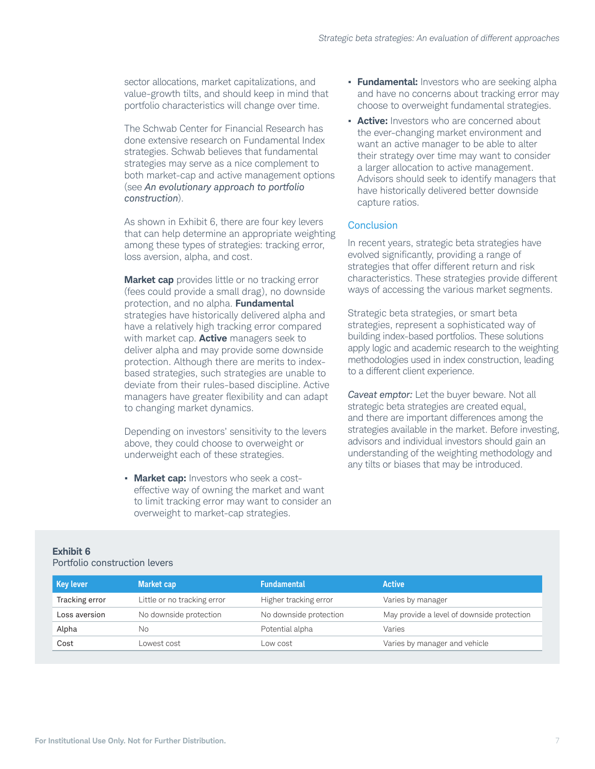sector allocations, market capitalizations, and value-growth tilts, and should keep in mind that portfolio characteristics will change over time.

The Schwab Center for Financial Research has done extensive research on Fundamental Index strategies. Schwab believes that fundamental strategies may serve as a nice complement to both market-cap and active management options (see *An evolutionary approach to portfolio construction*).

As shown in Exhibit 6, there are four key levers that can help determine an appropriate weighting among these types of strategies: tracking error, loss aversion, alpha, and cost.

**Market cap** provides little or no tracking error (fees could provide a small drag), no downside protection, and no alpha. **Fundamental**  strategies have historically delivered alpha and have a relatively high tracking error compared with market cap. **Active** managers seek to deliver alpha and may provide some downside protection. Although there are merits to indexbased strategies, such strategies are unable to deviate from their rules-based discipline. Active managers have greater flexibility and can adapt to changing market dynamics.

Depending on investors' sensitivity to the levers above, they could choose to overweight or underweight each of these strategies.

• **Market cap:** Investors who seek a costeffective way of owning the market and want to limit tracking error may want to consider an overweight to market-cap strategies.

- **Fundamental:** Investors who are seeking alpha and have no concerns about tracking error may choose to overweight fundamental strategies.
- **Active:** Investors who are concerned about the ever-changing market environment and want an active manager to be able to alter their strategy over time may want to consider a larger allocation to active management. Advisors should seek to identify managers that have historically delivered better downside capture ratios.

### **Conclusion**

In recent years, strategic beta strategies have evolved significantly, providing a range of strategies that offer different return and risk characteristics. These strategies provide different ways of accessing the various market segments.

Strategic beta strategies, or smart beta strategies, represent a sophisticated way of building index-based portfolios. These solutions apply logic and academic research to the weighting methodologies used in index construction, leading to a different client experience.

*Caveat emptor:* Let the buyer beware. Not all strategic beta strategies are created equal, and there are important differences among the strategies available in the market. Before investing, advisors and individual investors should gain an understanding of the weighting methodology and any tilts or biases that may be introduced.

### **Exhibit 6**

### Portfolio construction levers

| Key lever      | Market cap                  | <b>Fundamental</b>     | <b>Active</b>                              |
|----------------|-----------------------------|------------------------|--------------------------------------------|
| Tracking error | Little or no tracking error | Higher tracking error  | Varies by manager                          |
| Loss aversion  | No downside protection      | No downside protection | May provide a level of downside protection |
| Alpha          | Nο                          | Potential alpha        | Varies                                     |
| Cost           | Lowest cost                 | Low cost               | Varies by manager and vehicle              |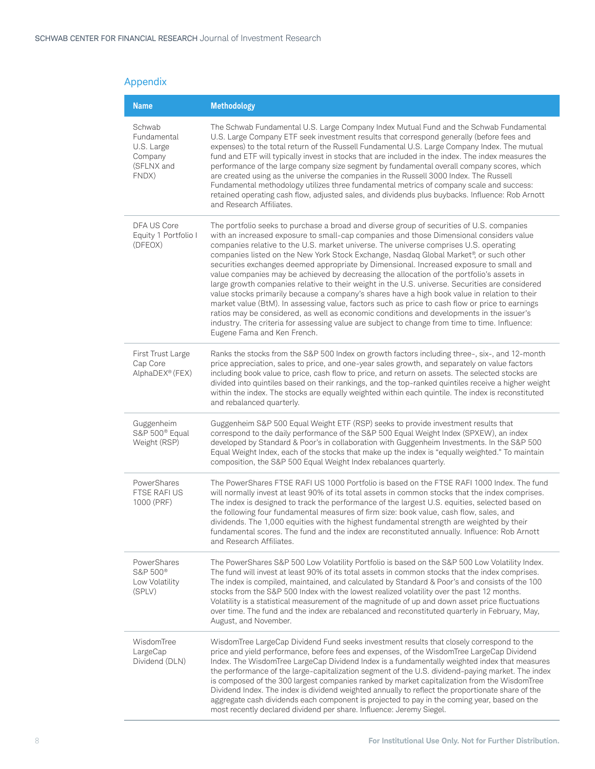# Appendix

| <b>Name</b>                                                           | <b>Methodology</b>                                                                                                                                                                                                                                                                                                                                                                                                                                                                                                                                                                                                                                                                                                                                                                                                                                                                                                                                                                                                                                                                                  |
|-----------------------------------------------------------------------|-----------------------------------------------------------------------------------------------------------------------------------------------------------------------------------------------------------------------------------------------------------------------------------------------------------------------------------------------------------------------------------------------------------------------------------------------------------------------------------------------------------------------------------------------------------------------------------------------------------------------------------------------------------------------------------------------------------------------------------------------------------------------------------------------------------------------------------------------------------------------------------------------------------------------------------------------------------------------------------------------------------------------------------------------------------------------------------------------------|
| Schwab<br>Fundamental<br>U.S. Large<br>Company<br>(SFLNX and<br>FNDX) | The Schwab Fundamental U.S. Large Company Index Mutual Fund and the Schwab Fundamental<br>U.S. Large Company ETF seek investment results that correspond generally (before fees and<br>expenses) to the total return of the Russell Fundamental U.S. Large Company Index. The mutual<br>fund and ETF will typically invest in stocks that are included in the index. The index measures the<br>performance of the large company size segment by fundamental overall company scores, which<br>are created using as the universe the companies in the Russell 3000 Index. The Russell<br>Fundamental methodology utilizes three fundamental metrics of company scale and success:<br>retained operating cash flow, adjusted sales, and dividends plus buybacks. Influence: Rob Arnott<br>and Research Affiliates.                                                                                                                                                                                                                                                                                     |
| DFA US Core<br>Equity 1 Portfolio I<br>(DFEOX)                        | The portfolio seeks to purchase a broad and diverse group of securities of U.S. companies<br>with an increased exposure to small-cap companies and those Dimensional considers value<br>companies relative to the U.S. market universe. The universe comprises U.S. operating<br>companies listed on the New York Stock Exchange, Nasdaq Global Market®, or such other<br>securities exchanges deemed appropriate by Dimensional. Increased exposure to small and<br>value companies may be achieved by decreasing the allocation of the portfolio's assets in<br>large growth companies relative to their weight in the U.S. universe. Securities are considered<br>value stocks primarily because a company's shares have a high book value in relation to their<br>market value (BtM). In assessing value, factors such as price to cash flow or price to earnings<br>ratios may be considered, as well as economic conditions and developments in the issuer's<br>industry. The criteria for assessing value are subject to change from time to time. Influence:<br>Eugene Fama and Ken French. |
| First Trust Large<br>Cap Core<br>AlphaDEX® (FEX)                      | Ranks the stocks from the S&P 500 Index on growth factors including three-, six-, and 12-month<br>price appreciation, sales to price, and one-year sales growth, and separately on value factors<br>including book value to price, cash flow to price, and return on assets. The selected stocks are<br>divided into quintiles based on their rankings, and the top-ranked quintiles receive a higher weight<br>within the index. The stocks are equally weighted within each quintile. The index is reconstituted<br>and rebalanced quarterly.                                                                                                                                                                                                                                                                                                                                                                                                                                                                                                                                                     |
| Guggenheim<br>S&P 500 <sup>®</sup> Equal<br>Weight (RSP)              | Guggenheim S&P 500 Equal Weight ETF (RSP) seeks to provide investment results that<br>correspond to the daily performance of the S&P 500 Equal Weight Index (SPXEW), an index<br>developed by Standard & Poor's in collaboration with Guggenheim Investments. In the S&P 500<br>Equal Weight Index, each of the stocks that make up the index is "equally weighted." To maintain<br>composition, the S&P 500 Equal Weight Index rebalances quarterly.                                                                                                                                                                                                                                                                                                                                                                                                                                                                                                                                                                                                                                               |
| PowerShares<br><b>FTSE RAFIUS</b><br>1000 (PRF)                       | The PowerShares FTSE RAFI US 1000 Portfolio is based on the FTSE RAFI 1000 Index. The fund<br>will normally invest at least 90% of its total assets in common stocks that the index comprises.<br>The index is designed to track the performance of the largest U.S. equities, selected based on<br>the following four fundamental measures of firm size: book value, cash flow, sales, and<br>dividends. The 1,000 equities with the highest fundamental strength are weighted by their<br>fundamental scores. The fund and the index are reconstituted annually. Influence: Rob Arnott<br>and Research Affiliates.                                                                                                                                                                                                                                                                                                                                                                                                                                                                                |
| PowerShares<br>S&P 500 <sup>®</sup><br>Low Volatility<br>(SPLV)       | The PowerShares S&P 500 Low Volatility Portfolio is based on the S&P 500 Low Volatility Index.<br>The fund will invest at least 90% of its total assets in common stocks that the index comprises.<br>The index is compiled, maintained, and calculated by Standard & Poor's and consists of the 100<br>stocks from the S&P 500 Index with the lowest realized volatility over the past 12 months.<br>Volatility is a statistical measurement of the magnitude of up and down asset price fluctuations<br>over time. The fund and the index are rebalanced and reconstituted quarterly in February, May,<br>August, and November.                                                                                                                                                                                                                                                                                                                                                                                                                                                                   |
| WisdomTree<br>LargeCap<br>Dividend (DLN)                              | WisdomTree LargeCap Dividend Fund seeks investment results that closely correspond to the<br>price and yield performance, before fees and expenses, of the WisdomTree LargeCap Dividend<br>Index. The WisdomTree LargeCap Dividend Index is a fundamentally weighted index that measures<br>the performance of the large-capitalization segment of the U.S. dividend-paying market. The index<br>is composed of the 300 largest companies ranked by market capitalization from the WisdomTree<br>Dividend Index. The index is dividend weighted annually to reflect the proportionate share of the<br>aggregate cash dividends each component is projected to pay in the coming year, based on the<br>most recently declared dividend per share. Influence: Jeremy Siegel.                                                                                                                                                                                                                                                                                                                          |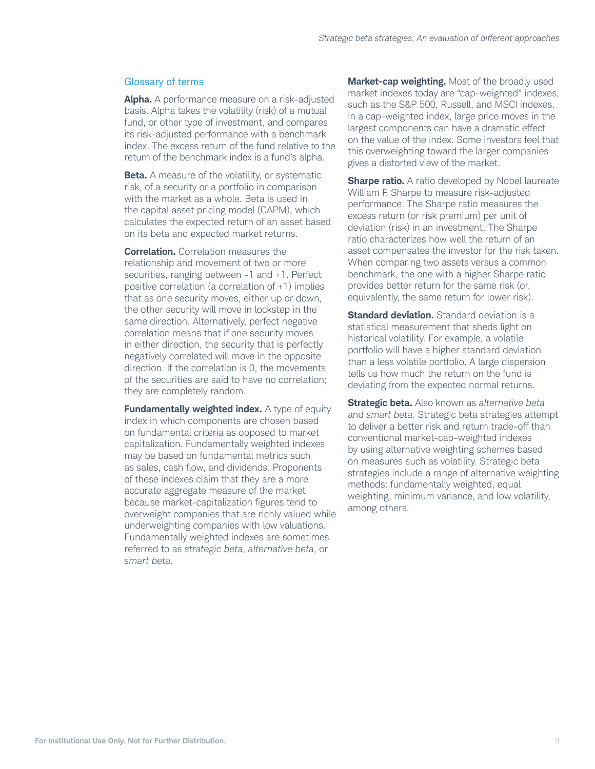### Glossary of terms

**Alpha.** A performance measure on a risk-adjusted basis. Alpha takes the volatility (risk) of a mutual fund, or other type of investment, and compares its risk-adjusted performance with a benchmark index. The excess return of the fund relative to the return of the benchmark index is a fund's alpha.

**Beta.** A measure of the volatility, or systematic risk, of a security or a portfolio in comparison with the market as a whole. Beta is used in the capital asset pricing model (CAPM), which calculates the expected return of an asset based on its beta and expected market returns.

**Correlation.** Correlation measures the relationship and movement of two or more securities, ranging between -1 and +1. Perfect positive correlation (a correlation of +1) implies that as one security moves, either up or down, the other security will move in lockstep in the same direction. Alternatively, perfect negative correlation means that if one security moves in either direction, the security that is perfectly negatively correlated will move in the opposite direction. If the correlation is 0, the movements of the securities are said to have no correlation; they are completely random.

**Fundamentally weighted index.** A type of equity index in which components are chosen based on fundamental criteria as opposed to market capitalization. Fundamentally weighted indexes may be based on fundamental metrics such as sales, cash flow, and dividends. Proponents of these indexes claim that they are a more accurate aggregate measure of the market because market-capitalization figures tend to overweight companies that are richly valued while underweighting companies with low valuations. Fundamentally weighted indexes are sometimes referred to as *strategic beta*, *alternative beta*, or *smart beta*.

**Market-cap weighting.** Most of the broadly used market indexes today are "cap-weighted" indexes, such as the S&P 500, Russell, and MSCI indexes. In a cap-weighted index, large price moves in the largest components can have a dramatic effect on the value of the index. Some investors feel that this overweighting toward the larger companies gives a distorted view of the market.

**Sharpe ratio.** A ratio developed by Nobel laureate William F. Sharpe to measure risk-adjusted performance. The Sharpe ratio measures the excess return (or risk premium) per unit of deviation (risk) in an investment. The Sharpe ratio characterizes how well the return of an asset compensates the investor for the risk taken. When comparing two assets versus a common benchmark, the one with a higher Sharpe ratio provides better return for the same risk (or, equivalently, the same return for lower risk).

**Standard deviation.** Standard deviation is a statistical measurement that sheds light on historical volatility. For example, a volatile portfolio will have a higher standard deviation than a less volatile portfolio. A large dispersion tells us how much the return on the fund is deviating from the expected normal returns.

**Strategic beta.** Also known as *alternative beta* and *smart beta*. Strategic beta strategies attempt to deliver a better risk and return trade-off than conventional market-cap-weighted indexes by using alternative weighting schemes based on measures such as volatility. Strategic beta strategies include a range of alternative weighting methods: fundamentally weighted, equal weighting, minimum variance, and low volatility, among others.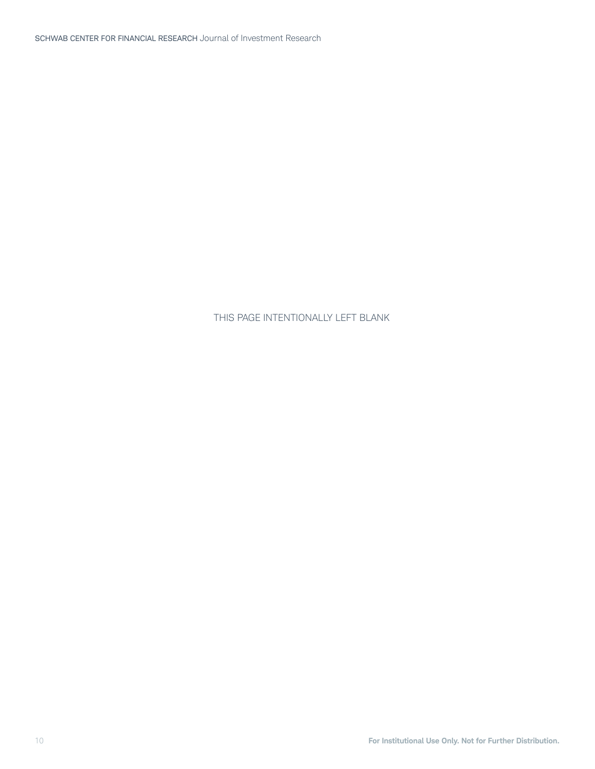### THIS PAGE INTENTIONALLY LEFT BLANK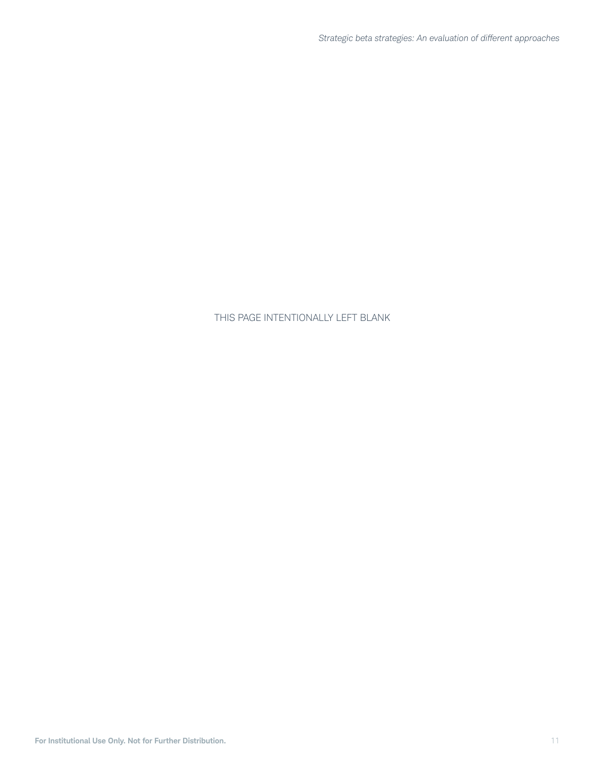## THIS PAGE INTENTIONALLY LEFT BLANK